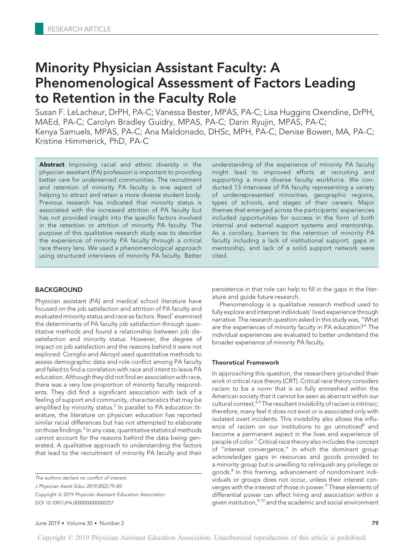# Minority Physician Assistant Faculty: A Phenomenological Assessment of Factors Leading to Retention in the Faculty Role

Susan F. LeLacheur, DrPH, PA-C; Vanessa Bester, MPAS, PA-C; Lisa Huggins Oxendine, DrPH, MAEd, PA-C; Carolyn Bradley Guidry, MPAS, PA-C; Darin Ryujin, MPAS, PA-C; Kenya Samuels, MPAS, PA-C; Ana Maldonado, DHSc, MPH, PA-C; Denise Bowen, MA, PA-C; Kristine Himmerick, PhD, PA-C

**Abstract** Improving racial and ethnic diversity in the physician assistant (PA) profession is important to providing better care for underserved communities. The recruitment and retention of minority PA faculty is one aspect of helping to attract and retain a more diverse student body. Previous research has indicated that minority status is associated with the increased attrition of PA faculty but has not provided insight into the specific factors involved in the retention or attrition of minority PA faculty. The purpose of this qualitative research study was to describe the experience of minority PA faculty through a critical race theory lens. We used a phenomenological approach using structured interviews of minority PA faculty. Better understanding of the experience of minority PA faculty might lead to improved efforts at recruiting and supporting a more diverse faculty workforce. We conducted 13 interviews of PA faculty representing a variety of underrepresented minorities, geographic regions, types of schools, and stages of their careers. Major themes that emerged across the participants' experiences included opportunities for success in the form of both internal and external support systems and mentorship. As a corollary, barriers to the retention of minority PA faculty including a lack of institutional support, gaps in mentorship, and lack of a solid support network were cited.

# BACKGROUND

Physician assistant (PA) and medical school literature have focused on the job satisfaction and attrition of PA faculty and evaluated minority status and race as factors. Reed<sup>1</sup> examined the determinants of PA faculty job satisfaction through quantitative methods and found a relationship between job dissatisfaction and minority status. However, the degree of impact on job satisfaction and the reasons behind it were not explored. Coniglio and Akroyd used quantitative methods to assess demographic data and role conflict among PA faculty and failed to find a correlation with race and intent to leave PA education. Although they did not find an association with race, there was a very low proportion of minority faculty respondents. They did find a significant association with lack of a feeling of support and community, characteristics that may be amplified by minority status.<sup>2</sup> In parallel to PA education literature, the literature on physician education has reported similar racial differences but has not attempted to elaborate on those findings.<sup>3</sup> In any case, quantitative statistical methods cannot account for the reasons behind the data being generated. A qualitative approach to understanding the factors that lead to the recruitment of minority PA faculty and their

The authors declare no conflict of interest. J Physician Assist Educ 2019;30(2):79–85

Copyright © 2019 Physician Assistant Education Association

DOI 10.1097/JPA.0000000000000257

persistence in that role can help to fill in the gaps in the literature and guide future research.

Phenomenology is a qualitative research method used to fully explore and interpret individuals' lived experience through narrative. The research question asked in this study was, "What are the experiences of minority faculty in PA education?" The individual experiences are evaluated to better understand the broader experience of minority PA faculty.

#### Theoretical Framework

In approaching this question, the researchers grounded their work in critical race theory (CRT). Critical race theory considers racism to be a norm that is so fully enmeshed within the American society that it cannot be seen as aberrant within our cultural context.4,5 The resultant invisibility of racism is intrinsic; therefore, many feel it does not exist or is associated only with isolated overt incidents. This invisibility also allows the influence of racism on our institutions to go unnoticed<sup>6</sup> and become a permanent aspect in the lives and experience of people of color.<sup>7</sup> Critical race theory also includes the concept of "interest convergence," in which the dominant group acknowledges gaps in resources and goods provided to a minority group but is unwilling to relinquish any privilege or goods.<sup>8</sup> In this framing, advancement of nondominant individuals or groups does not occur, unless their interest converges with the interest of those in power.<sup>9</sup> These elements of differential power can affect hiring and association within a given institution, <sup>9,10</sup> and the academic and social environment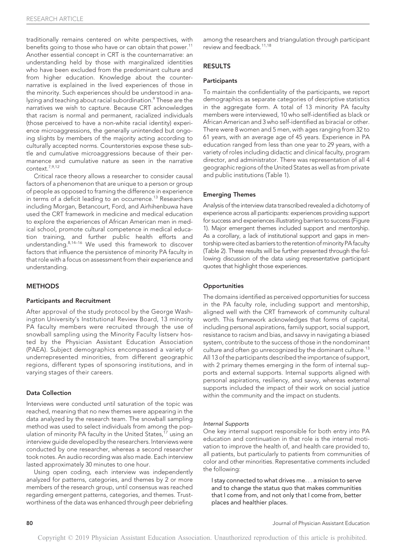traditionally remains centered on white perspectives, with benefits going to those who have or can obtain that power.<sup>11</sup> Another essential concept in CRT is the counternarrative: an understanding held by those with marginalized identities who have been excluded from the predominant culture and from higher education. Knowledge about the counternarrative is explained in the lived experiences of those in the minority. Such experiences should be understood in analyzing and teaching about racial subordination.<sup>9</sup> These are the narratives we wish to capture. Because CRT acknowledges that racism is normal and permanent, racialized individuals (those perceived to have a non-white racial identity) experience microaggressions, the generally unintended but ongoing slights by members of the majority acting according to culturally accepted norms. Counterstories expose these subtle and cumulative microaggressions because of their permanence and cumulative nature as seen in the narrative context.7,9,12

Critical race theory allows a researcher to consider causal factors of a phenomenon that are unique to a person or group of people as opposed to framing the difference in experience in terms of a deficit leading to an occurrence.<sup>13</sup> Researchers including Morgan, Betancourt, Ford, and Airhihenbuwa have used the CRT framework in medicine and medical education to explore the experiences of African American men in medical school, promote cultural competence in medical education training, and further public health efforts and understanding.8,14–16 We used this framework to discover factors that influence the persistence of minority PA faculty in that role with a focus on assessment from their experience and understanding.

# METHODS

#### Participants and Recruitment

After approval of the study protocol by the George Washington University's Institutional Review Board, 13 minority PA faculty members were recruited through the use of snowball sampling using the Minority Faculty listserv hosted by the Physician Assistant Education Association (PAEA). Subject demographics encompassed a variety of underrepresented minorities, from different geographic regions, different types of sponsoring institutions, and in varying stages of their careers.

# Data Collection

Interviews were conducted until saturation of the topic was reached, meaning that no new themes were appearing in the data analyzed by the research team. The snowball sampling method was used to select individuals from among the population of minority PA faculty in the United States,<sup>17</sup> using an interview guide developed by the researchers. Interviews were conducted by one researcher, whereas a second researcher took notes. An audio recording was also made. Each interview lasted approximately 30 minutes to one hour.

Using open coding, each interview was independently analyzed for patterns, categories, and themes by 2 or more members of the research group, until consensus was reached regarding emergent patterns, categories, and themes. Trustworthiness of the data was enhanced through peer debriefing

among the researchers and triangulation through participant review and feedback.<sup>11,18</sup>

# RESULTS

# **Participants**

To maintain the confidentiality of the participants, we report demographics as separate categories of descriptive statistics in the aggregate form. A total of 13 minority PA faculty members were interviewed, 10 who self-identified as black or African American and 3 who self-identified as biracial or other. There were 8 women and 5 men, with ages ranging from 32 to 61 years, with an average age of 45 years. Experience in PA education ranged from less than one year to 29 years, with a variety of roles including didactic and clinical faculty, program director, and administrator. There was representation of all 4 geographic regions of the United States as well as from private and public institutions (Table 1).

# Emerging Themes

Analysis of the interview data transcribed revealed a dichotomy of experience across all participants: experiences providing support for success and experiences illustrating barriers to success (Figure 1). Major emergent themes included support and mentorship. As a corollary, a lack of institutional support and gaps in mentorship were cited as barriers to the retention of minority PA faculty (Table 2). These results will be further presented through the following discussion of the data using representative participant quotes that highlight those experiences.

# **Opportunities**

The domains identified as perceived opportunities for success in the PA faculty role, including support and mentorship, aligned well with the CRT framework of community cultural worth. This framework acknowledges that forms of capital, including personal aspirations, family support, social support, resistance to racism and bias, and savvy in navigating a biased system, contribute to the success of those in the nondominant culture and often go unrecognized by the dominant culture.<sup>13</sup> All 13 of the participants described the importance of support, with 2 primary themes emerging in the form of internal supports and external supports. Internal supports aligned with personal aspirations, resiliency, and savvy, whereas external supports included the impact of their work on social justice within the community and the impact on students.

# Internal Supports

One key internal support responsible for both entry into PA education and continuation in that role is the internal motivation to improve the health of, and health care provided to, all patients, but particularly to patients from communities of color and other minorities. Representative comments included the following:

I stay connected to what drives me... a mission to serve and to change the status quo that makes communities that I come from, and not only that I come from, better places and healthier places.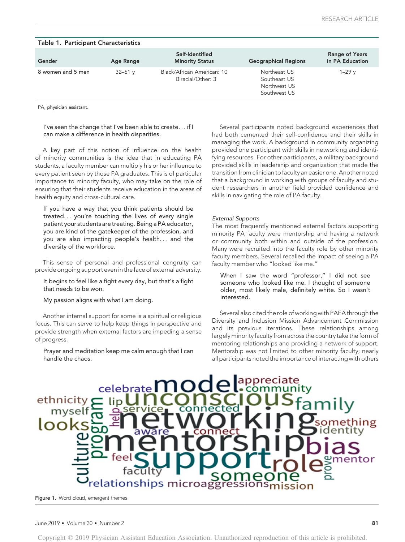| Table 1. Participant Characteristics |             |                                                 |                                                              |                                   |
|--------------------------------------|-------------|-------------------------------------------------|--------------------------------------------------------------|-----------------------------------|
| Gender                               | Age Range   | Self-Identified<br><b>Minority Status</b>       | <b>Geographical Regions</b>                                  | Range of Years<br>in PA Education |
| 8 women and 5 men                    | $32 - 61$ v | Black/African American: 10<br>Biracial/Other: 3 | Northeast US<br>Southeast US<br>Northwest US<br>Southwest US | $1 - 29$ v                        |

PA, physician assistant.

I've seen the change that I've been able to create... if I can make a difference in health disparities.

A key part of this notion of influence on the health of minority communities is the idea that in educating PA students, a faculty member can multiply his or her influence to every patient seen by those PA graduates. This is of particular importance to minority faculty, who may take on the role of ensuring that their students receive education in the areas of health equity and cross-cultural care.

If you have a way that you think patients should be treated... you're touching the lives of every single patient your students are treating. Being a PA educator, you are kind of the gatekeeper of the profession, and you are also impacting people's health... and the diversity of the workforce.

This sense of personal and professional congruity can provide ongoing support even in the face of external adversity.

It begins to feel like a fight every day, but that's a fight that needs to be won.

My passion aligns with what I am doing.

Another internal support for some is a spiritual or religious focus. This can serve to help keep things in perspective and provide strength when external factors are impeding a sense of progress.

Prayer and meditation keep me calm enough that I can handle the chaos.

Several participants noted background experiences that had both cemented their self-confidence and their skills in managing the work. A background in community organizing provided one participant with skills in networking and identifying resources. For other participants, a military background provided skills in leadership and organization that made the transition from clinician to faculty an easier one. Another noted that a background in working with groups of faculty and student researchers in another field provided confidence and skills in navigating the role of PA faculty.

# External Supports

The most frequently mentioned external factors supporting minority PA faculty were mentorship and having a network or community both within and outside of the profession. Many were recruited into the faculty role by other minority faculty members. Several recalled the impact of seeing a PA faculty member who "looked like me."

When I saw the word "professor," I did not see someone who looked like me. I thought of someone older, most likely male, definitely white. So I wasn't interested.

Several also cited the role of working with PAEA through the Diversity and Inclusion Mission Advancement Commission and its previous iterations. These relationships among largely minority faculty from across the country take the form of mentoring relationships and providing a network of support. Mentorship was not limited to other minority faculty; nearly all participants noted the importance of interacting with others



Figure 1. Word cloud, emergent themes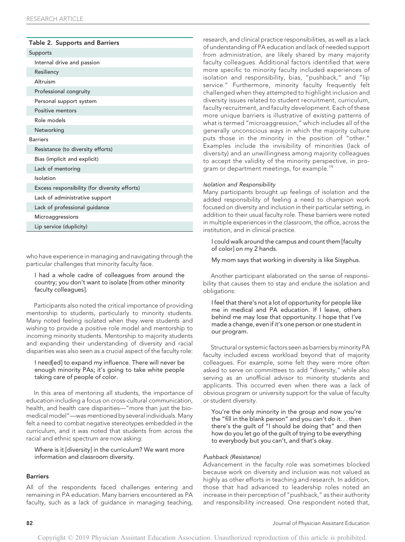| Table 2. Supports and Barriers                |  |  |  |  |
|-----------------------------------------------|--|--|--|--|
| Supports                                      |  |  |  |  |
| Internal drive and passion                    |  |  |  |  |
| Resiliency                                    |  |  |  |  |
| Altruism                                      |  |  |  |  |
| Professional congruity                        |  |  |  |  |
| Personal support system                       |  |  |  |  |
| Positive mentors                              |  |  |  |  |
| Role models                                   |  |  |  |  |
| Networking                                    |  |  |  |  |
| <b>Barriers</b>                               |  |  |  |  |
| Resistance (to diversity efforts)             |  |  |  |  |
| Bias (implicit and explicit)                  |  |  |  |  |
| Lack of mentoring                             |  |  |  |  |
| Isolation                                     |  |  |  |  |
| Excess responsibility (for diversity efforts) |  |  |  |  |
| Lack of administrative support                |  |  |  |  |
| Lack of professional guidance                 |  |  |  |  |
| Microaggressions                              |  |  |  |  |
| Lip service (duplicity)                       |  |  |  |  |

who have experience in managing and navigating through the particular challenges that minority faculty face.

I had a whole cadre of colleagues from around the country; you don't want to isolate [from other minority faculty colleagues].

Participants also noted the critical importance of providing mentorship to students, particularly to minority students. Many noted feeling isolated when they were students and wishing to provide a positive role model and mentorship to incoming minority students. Mentorship to majority students and expanding their understanding of diversity and racial disparities was also seen as a crucial aspect of the faculty role:

I need[ed] to expand my influence. There will never be enough minority PAs; it's going to take white people taking care of people of color.

In this area of mentoring all students, the importance of education including a focus on cross-cultural communication, health, and health care disparities—"more than just the biomedical model"—was mentioned by several individuals. Many felt a need to combat negative stereotypes embedded in the curriculum, and it was noted that students from across the racial and ethnic spectrum are now asking:

Where is it [diversity] in the curriculum? We want more information and classroom diversity.

#### Barriers

All of the respondents faced challenges entering and remaining in PA education. Many barriers encountered as PA faculty, such as a lack of guidance in managing teaching,

research, and clinical practice responsibilities, as well as a lack of understanding of PA education and lack of needed support from administration, are likely shared by many majority faculty colleagues. Additional factors identified that were more specific to minority faculty included experiences of isolation and responsibility, bias, "pushback," and "lip service." Furthermore, minority faculty frequently felt challenged when they attempted to highlight inclusion and diversity issues related to student recruitment, curriculum, faculty recruitment, and faculty development. Each of these more unique barriers is illustrative of existing patterns of what is termed "microaggression," which includes all of the generally unconscious ways in which the majority culture puts those in the minority in the position of "other." Examples include the invisibility of minorities (lack of diversity) and an unwillingness among majority colleagues to accept the validity of the minority perspective, in program or department meetings, for example.<sup>19</sup>

#### Isolation and Responsibility

Many participants brought up feelings of isolation and the added responsibility of feeling a need to champion work focused on diversity and inclusion in their particular setting, in addition to their usual faculty role. These barriers were noted in multiple experiences in the classroom, the office, across the institution, and in clinical practice.

I could walk around the campus and count them [faculty of color] on my 2 hands.

My mom says that working in diversity is like Sisyphus.

Another participant elaborated on the sense of responsibility that causes them to stay and endure the isolation and obligations:

I feel that there's not a lot of opportunity for people like me in medical and PA education. If I leave, others behind me may lose that opportunity. I hope that I've made a change, even if it's one person or one student in our program.

Structural or systemic factors seen as barriers by minority PA faculty included excess workload beyond that of majority colleagues. For example, some felt they were more often asked to serve on committees to add "diversity," while also serving as an unofficial advisor to minority students and applicants. This occurred even when there was a lack of obvious program or university support for the value of faculty or student diversity.

You're the only minority in the group and now you're the "fill in the blank person" and you can't do it... then there's the guilt of "I should be doing that" and then how do you let go of the guilt of trying to be everything to everybody but you can't, and that's okay.

#### Pushback (Resistance)

Advancement in the faculty role was sometimes blocked because work on diversity and inclusion was not valued as highly as other efforts in teaching and research. In addition, those that had advanced to leadership roles noted an increase in their perception of "pushback," as their authority and responsibility increased. One respondent noted that,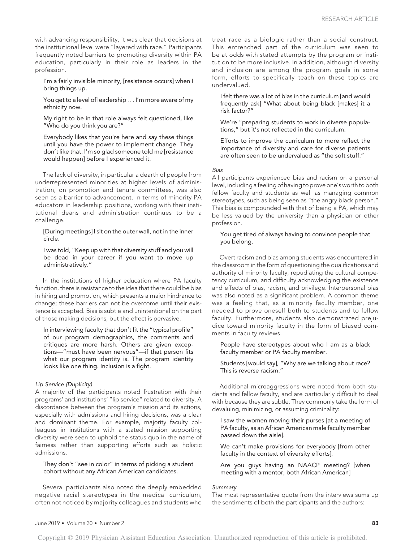with advancing responsibility, it was clear that decisions at the institutional level were "layered with race." Participants frequently noted barriers to promoting diversity within PA education, particularly in their role as leaders in the profession.

I'm a fairly invisible minority, [resistance occurs] when I bring things up.

You get to a level of leadership ... I'm more aware of my ethnicity now.

My right to be in that role always felt questioned, like "Who do you think you are?"

Everybody likes that you're here and say these things until you have the power to implement change. They don't like that. I'm so glad someone told me [resistance would happen] before I experienced it.

The lack of diversity, in particular a dearth of people from underrepresented minorities at higher levels of administration, on promotion and tenure committees, was also seen as a barrier to advancement. In terms of minority PA educators in leadership positions, working with their institutional deans and administration continues to be a challenge.

[During meetings] I sit on the outer wall, not in the inner circle.

I was told, "Keep up with that diversity stuff and you will be dead in your career if you want to move up administratively."

In the institutions of higher education where PA faculty function, there is resistance to the idea that there could be bias in hiring and promotion, which presents a major hindrance to change; these barriers can not be overcome until their existence is accepted. Bias is subtle and unintentional on the part of those making decisions, but the effect is pervasive.

In interviewing faculty that don't fit the "typical profile" of our program demographics, the comments and critiques are more harsh. Others are given exceptions—"must have been nervous"—if that person fits what our program identity is. The program identity looks like one thing. Inclusion is a fight.

# Lip Service (Duplicity)

A majority of the participants noted frustration with their programs' and institutions' "lip service" related to diversity. A discordance between the program's mission and its actions, especially with admissions and hiring decisions, was a clear and dominant theme. For example, majority faculty colleagues in institutions with a stated mission supporting diversity were seen to uphold the status quo in the name of fairness rather than supporting efforts such as holistic admissions.

They don't "see in color" in terms of picking a student cohort without any African American candidates.

Several participants also noted the deeply embedded negative racial stereotypes in the medical curriculum, often not noticed by majority colleagues and students who treat race as a biologic rather than a social construct. This entrenched part of the curriculum was seen to be at odds with stated attempts by the program or institution to be more inclusive. In addition, although diversity and inclusion are among the program goals in some form, efforts to specifically teach on these topics are undervalued.

I felt there was a lot of bias in the curriculum [and would frequently ask] "What about being black [makes] it a risk factor?"

We're "preparing students to work in diverse populations," but it's not reflected in the curriculum.

Efforts to improve the curriculum to more reflect the importance of diversity and care for diverse patients are often seen to be undervalued as "the soft stuff."

#### Bias

All participants experienced bias and racism on a personal level, including a feeling of having to prove one's worth to both fellow faculty and students as well as managing common stereotypes, such as being seen as "the angry black person." This bias is compounded with that of being a PA, which may be less valued by the university than a physician or other profession.

### You get tired of always having to convince people that you belong.

Overt racism and bias among students was encountered in the classroom in the form of questioning the qualifications and authority of minority faculty, repudiating the cultural competency curriculum, and difficulty acknowledging the existence and effects of bias, racism, and privilege. Interpersonal bias was also noted as a significant problem. A common theme was a feeling that, as a minority faculty member, one needed to prove oneself both to students and to fellow faculty. Furthermore, students also demonstrated prejudice toward minority faculty in the form of biased comments in faculty reviews.

People have stereotypes about who I am as a black faculty member or PA faculty member.

Students [would say], "Why are we talking about race? This is reverse racism."

Additional microaggressions were noted from both students and fellow faculty, and are particularly difficult to deal with because they are subtle. They commonly take the form of devaluing, minimizing, or assuming criminality:

I saw the women moving their purses [at a meeting of PA faculty, as an African American male faculty member passed down the aisle].

We can't make provisions for everybody [from other faculty in the context of diversity efforts].

Are you guys having an NAACP meeting? [when meeting with a mentor, both African American]

#### Summary

The most representative quote from the interviews sums up the sentiments of both the participants and the authors: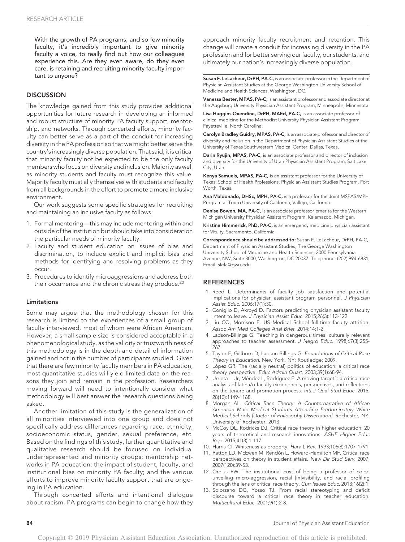With the growth of PA programs, and so few minority faculty, it's incredibly important to give minority faculty a voice, to really find out how our colleagues experience this. Are they even aware, do they even care, is retaining and recruiting minority faculty important to anyone?

# **DISCUSSION**

The knowledge gained from this study provides additional opportunities for future research in developing an informed and robust structure of minority PA faculty support, mentorship, and networks. Through concerted efforts, minority faculty can better serve as a part of the conduit for increasing diversity in the PA profession so that we might better serve the country's increasingly diverse population. That said, it is critical that minority faculty not be expected to be the only faculty members who focus on diversity and inclusion. Majority as well as minority students and faculty must recognize this value. Majority faculty must ally themselves with students and faculty from all backgrounds in the effort to promote a more inclusive environment.

Our work suggests some specific strategies for recruiting and maintaining an inclusive faculty as follows:

- 1. Formal mentoring—this may include mentoring within and outside of the institution but should take into consideration the particular needs of minority faculty.
- 2. Faculty and student education on issues of bias and discrimination, to include explicit and implicit bias and methods for identifying and resolving problems as they occur.
- 3. Procedures to identify microaggressions and address both their occurrence and the chronic stress they produce.<sup>20</sup>

#### Limitations

Some may argue that the methodology chosen for this research is limited to the experiences of a small group of faculty interviewed, most of whom were African American. However, a small sample size is considered acceptable in a phenomenological study, as the validity or trustworthiness of this methodology is in the depth and detail of information gained and not in the number of participants studied. Given that there are few minority faculty members in PA education, most quantitative studies will yield limited data on the reasons they join and remain in the profession. Researchers moving forward will need to intentionally consider what methodology will best answer the research questions being asked.

Another limitation of this study is the generalization of all minorities interviewed into one group and does not specifically address differences regarding race, ethnicity, socioeconomic status, gender, sexual preference, etc. Based on the findings of this study, further quantitative and qualitative research should be focused on individual underrepresented and minority groups; mentorship networks in PA education; the impact of student, faculty, and institutional bias on minority PA faculty; and the various efforts to improve minority faculty support that are ongoing in PA education.

Through concerted efforts and intentional dialogue about racism, PA programs can begin to change how they

approach minority faculty recruitment and retention. This change will create a conduit for increasing diversity in the PA profession and for better serving our faculty, our students, and ultimately our nation's increasingly diverse population.

Susan F. LeLacheur, DrPH, PA-C, is an associate professor in the Department of Physician Assistant Studies at the George Washington University School of Medicine and Health Sciences, Washington, DC.

Vanessa Bester, MPAS, PA-C, is an assistant professor and associate director at the Augsburg University Physician Assistant Program, Minneapolis, Minnesota.

Lisa Huggins Oxendine, DrPH, MAEd, PA-C, is an associate professor of clinical medicine for the Methodist University Physician Assistant Program, Fayetteville, North Carolina.

Carolyn Bradley Guidry, MPAS, PA-C, is an associate professor and director of diversity and inclusion in the Department of Physician Assistant Studies at the University of Texas Southwestern Medical Center, Dallas, Texas.

Darin Ryujin, MPAS, PA-C, is an associate professor and director of inclusion and diversity for the University of Utah Physician Assistant Program, Salt Lake City, Utah.

Kenya Samuels, MPAS, PA-C, is an assistant professor for the University of Texas, School of Health Professions, Physician Assistant Studies Program, Fort Worth, Texas.

Ana Maldonado, DHSc, MPH, PA-C, is a professor for the Joint MSPAS/MPH Program at Touro University of California, Vallejo, California.

Denise Bowen, MA, PA-C, is an associate professor emerita for the Western Michigan University Physician Assistant Program, Kalamazoo, Michigan.

Kristine Himmerick, PhD, PA-C, is an emergency medicine physician assistant for Vituity, Sacramento, California.

Correspondence should be addressed to: Susan F. LeLacheur, DrPH, PA-C, Department of Physician Assistant Studies, The George Washington University School of Medicine and Health Sciences, 2000 Pennsylvania Avenue, NW, Suite 3000, Washington, DC 20037. Telephone: (202) 994-6831; Email: slela@gwu.edu

# **REFERENCES**

- 1. Reed L. Determinants of faculty job satisfaction and potential implications for physician assistant program personnel. J Physician Assist Educ. 2006;17(1):30.
- 2. Coniglio D, Akroyd D. Factors predicting physician assistant faculty intent to leave. J Physician Assist Educ. 2015;26(3):113-122.
- 3. Liu CQ, Morrison E. US Medical School full-time faculty attrition. Assoc Am Med Colleges Anal Brief. 2014;14:1-2.
- 4. Ladson-Billings G. Teaching in dangerous times: culturally relevant approaches to teacher assessment. J Negro Educ. 1998;67(3):255- 267.
- 5. Taylor E, Gillborn D, Ladson-Billings G. Foundations of Critical Race Theory in Education. New York, NY: Routledge; 2009.
- 6. López GR. The (racially neutral) politics of education: a critical race theory perspective. Educ Admin Quart. 2003;39(1):68-94.
- 7. Urrieta L Jr, Méndez L, Rodríguez E. A moving target": a critical race analysis of latina/o faculty experiences, perspectives, and reflections on the tenure and promotion process. Intl J Qual Stud Educ. 2015; 28(10):1149-1168.
- 8. Morgan AL. Critical Race Theory: A Counternarrative of African American Male Medical Students Attending Predominately White Medical Schools [Doctor of Philosophy Dissertation]. Rochester, NY: University of Rochester; 2013.
- 9. McCoy DL, Rodricks DJ. Critical race theory in higher education: 20 years of theoretical and research innovations. ASHE Higher Educ Rep. 2015;41(3):1-117.
- 10. Harris CI. Whiteness as property. Harv L Rev. 1993;106(8):1707-1791.
- 11. Patton LD, McEwen M, Rendón L, Howard-Hamilton MF. Critical race perspectives on theory in student affairs. New Dir Stud Serv. 2007; 2007(120):39-53.
- 12. Orelus PW. The institutional cost of being a professor of color: unveiling micro-aggression, racial [in]visibility, and racial profiling through the lens of critical race theory. Curr Issues Educ. 2013;16(2):1.
- 13. Solorzano DG, Yosso TJ. From racial stereotyping and deficit discourse toward a critical race theory in teacher education. Multicultural Educ. 2001;9(1):2-8.